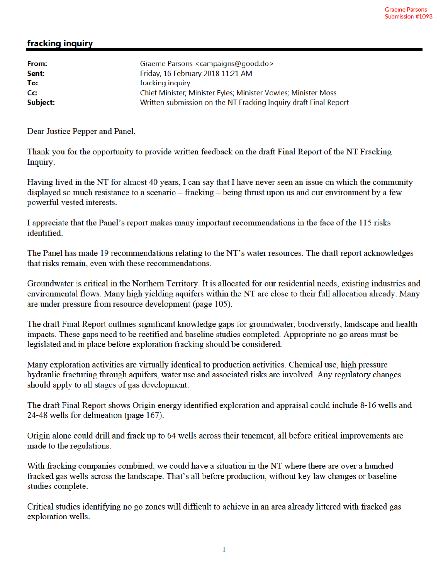## fracking inquiry

| From:    | Graeme Parsons <campaigns@good.do></campaigns@good.do>           |
|----------|------------------------------------------------------------------|
| Sent:    | Friday, 16 February 2018 11:21 AM                                |
| To:      | fracking inquiry                                                 |
| Cc:      | Chief Minister; Minister Fyles; Minister Vowles; Minister Moss   |
| Subject: | Written submission on the NT Fracking Inquiry draft Final Report |
|          |                                                                  |

Dear Justice Pepper and Panel,

Thank you for the opportunity to provide written feedback on the draft Final Report of the NT Fracking Inquiry.

Having lived in the NT for almost 40 years, I can say that I have never seen an issue on which the community displayed so much resistance to a scenario – fracking – being thrust upon us and our environment by a few powerful vested interests.

I appreciate that the Panel's report makes many important recommendations in the face of the 115 risks identified

The Panel has made 19 recommendations relating to the NT's water resources. The draft report acknowledges that risks remain, even with these recommendations.

Groundwater is critical in the Northern Territory. It is allocated for our residential needs, existing industries and environmental flows. Many high yielding aquifers within the NT are close to their full allocation already. Many are under pressure from resource development (page 105).

The draft Final Report outlines significant knowledge gaps for groundwater, biodiversity, landscape and health impacts. These gaps need to be rectified and baseline studies completed. Appropriate no go areas must be legislated and in place before exploration fracking should be considered.

Many exploration activities are virtually identical to production activities. Chemical use, high pressure hydraulic fracturing through aquifers, water use and associated risks are involved. Any regulatory changes should apply to all stages of gas development.

The draft Final Report shows Origin energy identified exploration and appraisal could include 8-16 wells and 24-48 wells for delineation (page 167).

Origin alone could drill and frack up to 64 wells across their tenement, all before critical improvements are made to the regulations.

With fracking companies combined, we could have a situation in the NT where there are over a hundred fracked gas wells across the landscape. That's all before production, without key law changes or baseline studies complete.

Critical studies identifying no go zones will difficult to achieve in an area already littered with fracked gas exploration wells.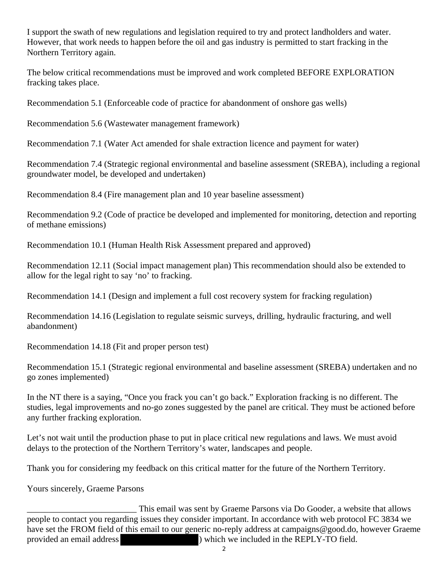I support the swath of new regulations and legislation required to try and protect landholders and water. However, that work needs to happen before the oil and gas industry is permitted to start fracking in the Northern Territory again.

The below critical recommendations must be improved and work completed BEFORE EXPLORATION fracking takes place.

Recommendation 5.1 (Enforceable code of practice for abandonment of onshore gas wells)

Recommendation 5.6 (Wastewater management framework)

Recommendation 7.1 (Water Act amended for shale extraction licence and payment for water)

Recommendation 7.4 (Strategic regional environmental and baseline assessment (SREBA), including a regional groundwater model, be developed and undertaken)

Recommendation 8.4 (Fire management plan and 10 year baseline assessment)

Recommendation 9.2 (Code of practice be developed and implemented for monitoring, detection and reporting of methane emissions)

Recommendation 10.1 (Human Health Risk Assessment prepared and approved)

Recommendation 12.11 (Social impact management plan) This recommendation should also be extended to allow for the legal right to say 'no' to fracking.

Recommendation 14.1 (Design and implement a full cost recovery system for fracking regulation)

Recommendation 14.16 (Legislation to regulate seismic surveys, drilling, hydraulic fracturing, and well abandonment)

Recommendation 14.18 (Fit and proper person test)

Recommendation 15.1 (Strategic regional environmental and baseline assessment (SREBA) undertaken and no go zones implemented)

In the NT there is a saying, "Once you frack you can't go back." Exploration fracking is no different. The studies, legal improvements and no-go zones suggested by the panel are critical. They must be actioned before any further fracking exploration.

Let's not wait until the production phase to put in place critical new regulations and laws. We must avoid delays to the protection of the Northern Territory's water, landscapes and people.

Thank you for considering my feedback on this critical matter for the future of the Northern Territory.

Yours sincerely, Graeme Parsons

*\_\_\_\_\_\_\_\_\_\_\_\_\_\_\_\_\_\_\_\_\_\_\_\_*\_ This email was sent by Graeme Parsons via Do Gooder, a website that allows people to contact you regarding issues they consider important. In accordance with web protocol FC 3834 we have set the FROM field of this email to our generic no-reply address at campaigns@good.do, however Graeme provided an email address ) which we included in the REPLY-TO field.

 $\mathfrak{p}$